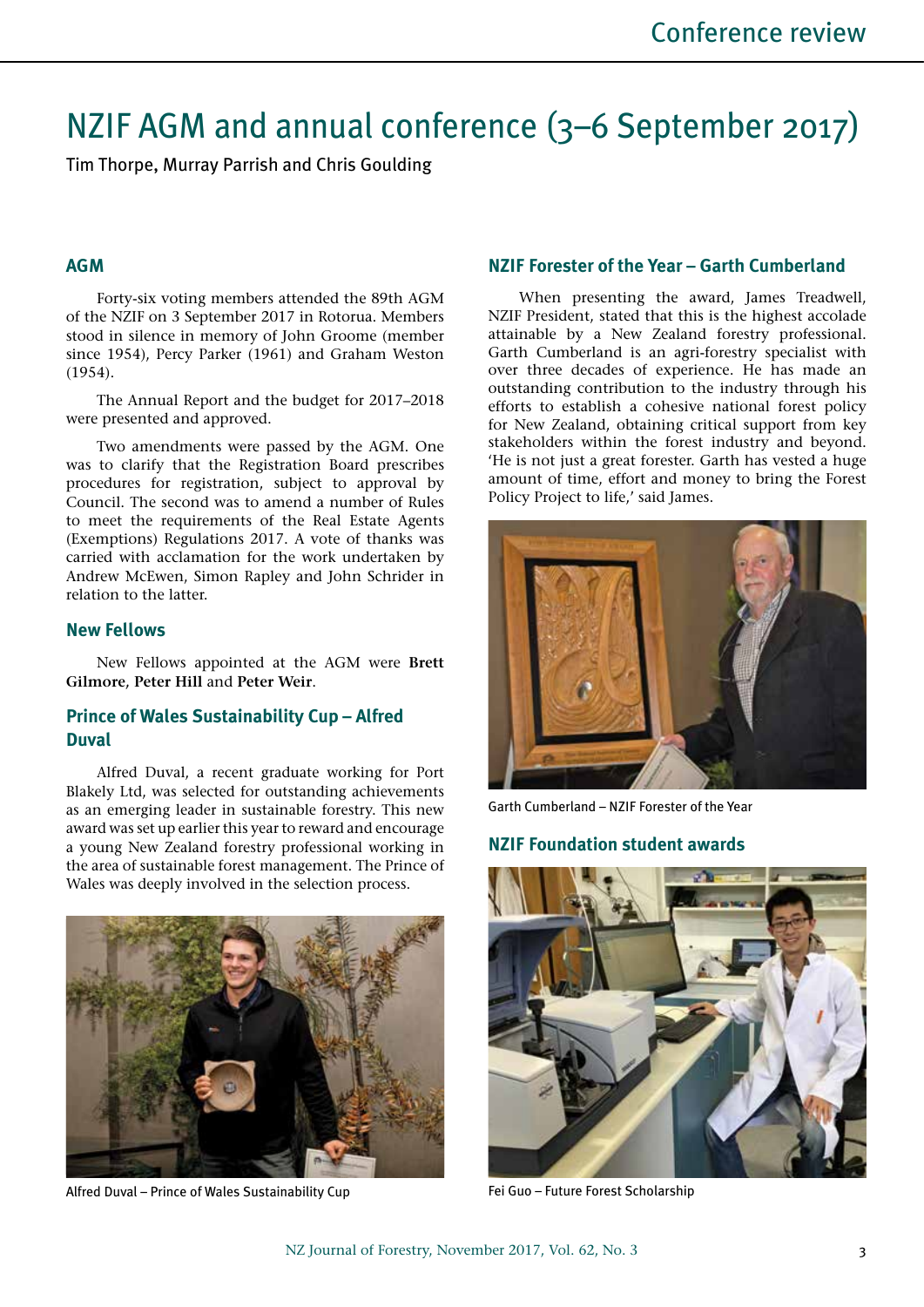# NZIF AGM and annual conference (3–6 September 2017)

Tim Thorpe, Murray Parrish and Chris Goulding

#### **AGM**

Forty-six voting members attended the 89th AGM of the NZIF on 3 September 2017 in Rotorua. Members stood in silence in memory of John Groome (member since 1954), Percy Parker (1961) and Graham Weston (1954).

The Annual Report and the budget for 2017–2018 were presented and approved.

Two amendments were passed by the AGM. One was to clarify that the Registration Board prescribes procedures for registration, subject to approval by Council. The second was to amend a number of Rules to meet the requirements of the Real Estate Agents (Exemptions) Regulations 2017. A vote of thanks was carried with acclamation for the work undertaken by Andrew McEwen, Simon Rapley and John Schrider in relation to the latter.

#### **New Fellows**

New Fellows appointed at the AGM were **Brett Gilmore, Peter Hill** and **Peter Weir**.

## **Prince of Wales Sustainability Cup – Alfred Duval**

Alfred Duval, a recent graduate working for Port Blakely Ltd, was selected for outstanding achievements as an emerging leader in sustainable forestry. This new award was set up earlier this year to reward and encourage a young New Zealand forestry professional working in the area of sustainable forest management. The Prince of Wales was deeply involved in the selection process.



Alfred Duval – Prince of Wales Sustainability Cup

## **NZIF Forester of the Year – Garth Cumberland**

When presenting the award, James Treadwell, NZIF President, stated that this is the highest accolade attainable by a New Zealand forestry professional. Garth Cumberland is an agri-forestry specialist with over three decades of experience. He has made an outstanding contribution to the industry through his efforts to establish a cohesive national forest policy for New Zealand, obtaining critical support from key stakeholders within the forest industry and beyond. 'He is not just a great forester. Garth has vested a huge amount of time, effort and money to bring the Forest Policy Project to life,' said James.



Garth Cumberland – NZIF Forester of the Year

#### **NZIF Foundation student awards**



Fei Guo – Future Forest Scholarship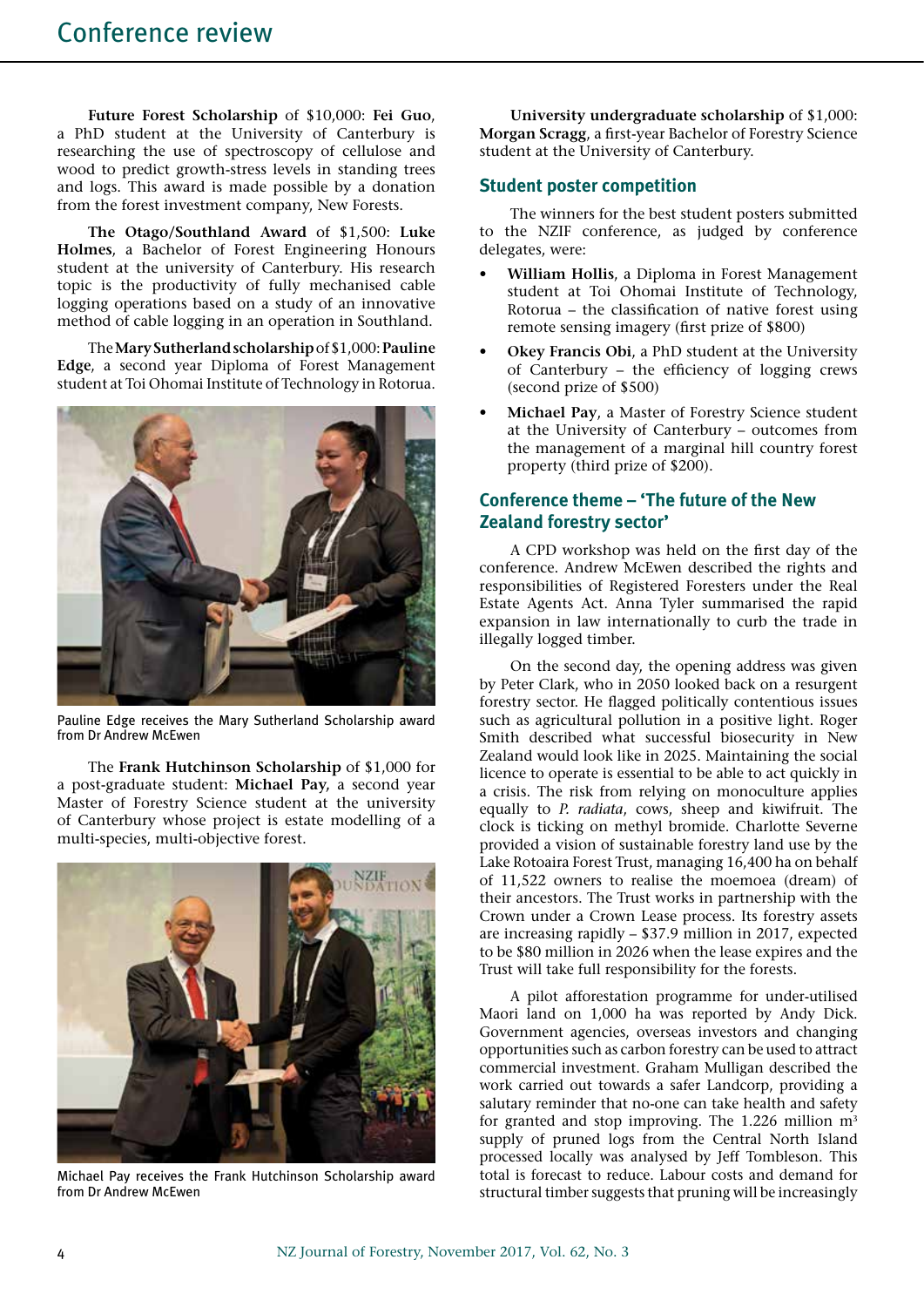**Future Forest Scholarship** of \$10,000: **Fei Guo**, a PhD student at the University of Canterbury is researching the use of spectroscopy of cellulose and wood to predict growth-stress levels in standing trees and logs. This award is made possible by a donation from the forest investment company, New Forests.

**The Otago/Southland Award** of \$1,500: **Luke Holmes**, a Bachelor of Forest Engineering Honours student at the university of Canterbury. His research topic is the productivity of fully mechanised cable logging operations based on a study of an innovative method of cable logging in an operation in Southland.

The **Mary Sutherland scholarship** of \$1,000: **Pauline Edge**, a second year Diploma of Forest Management student at Toi Ohomai Institute of Technology in Rotorua.



Pauline Edge receives the Mary Sutherland Scholarship award from Dr Andrew McEwen

The **Frank Hutchinson Scholarship** of \$1,000 for a post-graduate student: **Michael Pay,** a second year Master of Forestry Science student at the university of Canterbury whose project is estate modelling of a multi-species, multi-objective forest.



Michael Pay receives the Frank Hutchinson Scholarship award from Dr Andrew McEwen

**University undergraduate scholarship** of \$1,000: **Morgan Scragg**, a first-year Bachelor of Forestry Science student at the University of Canterbury.

#### **Student poster competition**

The winners for the best student posters submitted to the NZIF conference, as judged by conference delegates, were:

- **William Hollis**, a Diploma in Forest Management student at Toi Ohomai Institute of Technology, Rotorua – the classification of native forest using remote sensing imagery (first prize of \$800)
- **Okey Francis Obi**, a PhD student at the University of Canterbury – the efficiency of logging crews (second prize of \$500)
- **Michael Pay**, a Master of Forestry Science student at the University of Canterbury – outcomes from the management of a marginal hill country forest property (third prize of \$200).

## **Conference theme – 'The future of the New Zealand forestry sector'**

A CPD workshop was held on the first day of the conference. Andrew McEwen described the rights and responsibilities of Registered Foresters under the Real Estate Agents Act. Anna Tyler summarised the rapid expansion in law internationally to curb the trade in illegally logged timber.

On the second day, the opening address was given by Peter Clark, who in 2050 looked back on a resurgent forestry sector. He flagged politically contentious issues such as agricultural pollution in a positive light. Roger Smith described what successful biosecurity in New Zealand would look like in 2025. Maintaining the social licence to operate is essential to be able to act quickly in a crisis. The risk from relying on monoculture applies equally to *P. radiata*, cows, sheep and kiwifruit. The clock is ticking on methyl bromide. Charlotte Severne provided a vision of sustainable forestry land use by the Lake Rotoaira Forest Trust, managing 16,400 ha on behalf of 11,522 owners to realise the moemoea (dream) of their ancestors. The Trust works in partnership with the Crown under a Crown Lease process. Its forestry assets are increasing rapidly – \$37.9 million in 2017, expected to be \$80 million in 2026 when the lease expires and the Trust will take full responsibility for the forests.

A pilot afforestation programme for under-utilised Maori land on 1,000 ha was reported by Andy Dick. Government agencies, overseas investors and changing opportunities such as carbon forestry can be used to attract commercial investment. Graham Mulligan described the work carried out towards a safer Landcorp, providing a salutary reminder that no-one can take health and safety for granted and stop improving. The 1.226 million  $m<sup>3</sup>$ supply of pruned logs from the Central North Island processed locally was analysed by Jeff Tombleson. This total is forecast to reduce. Labour costs and demand for structural timber suggests that pruning will be increasingly